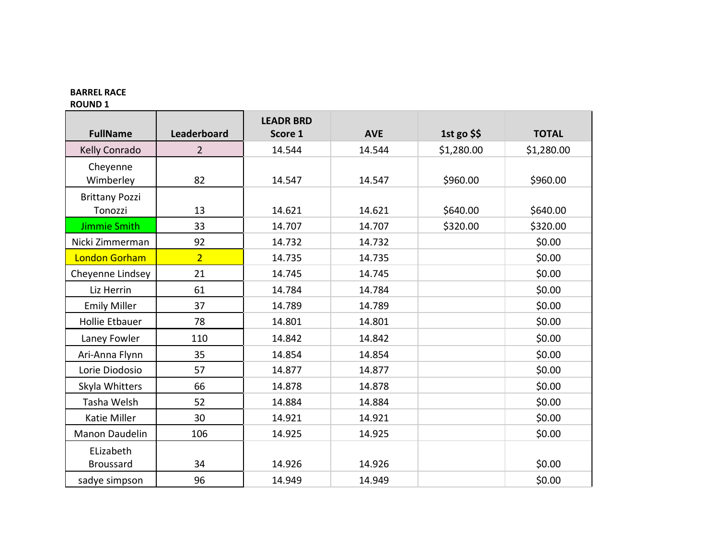## **BARREL RACE**

**ROUND 1**

|                       |                | <b>LEADR BRD</b> |            |            |              |
|-----------------------|----------------|------------------|------------|------------|--------------|
| <b>FullName</b>       | Leaderboard    | Score 1          | <b>AVE</b> | 1st go $$$ | <b>TOTAL</b> |
| Kelly Conrado         | $\overline{2}$ | 14.544           | 14.544     | \$1,280.00 | \$1,280.00   |
| Cheyenne              |                |                  |            |            |              |
| Wimberley             | 82             | 14.547           | 14.547     | \$960.00   | \$960.00     |
| <b>Brittany Pozzi</b> |                |                  |            |            |              |
| Tonozzi               | 13             | 14.621           | 14.621     | \$640.00   | \$640.00     |
| <b>Jimmie Smith</b>   | 33             | 14.707           | 14.707     | \$320.00   | \$320.00     |
| Nicki Zimmerman       | 92             | 14.732           | 14.732     |            | \$0.00       |
| <b>London Gorham</b>  | $\overline{2}$ | 14.735           | 14.735     |            | \$0.00       |
| Cheyenne Lindsey      | 21             | 14.745           | 14.745     |            | \$0.00       |
| Liz Herrin            | 61             | 14.784           | 14.784     |            | \$0.00       |
| <b>Emily Miller</b>   | 37             | 14.789           | 14.789     |            | \$0.00       |
| Hollie Etbauer        | 78             | 14.801           | 14.801     |            | \$0.00       |
| Laney Fowler          | 110            | 14.842           | 14.842     |            | \$0.00       |
| Ari-Anna Flynn        | 35             | 14.854           | 14.854     |            | \$0.00       |
| Lorie Diodosio        | 57             | 14.877           | 14.877     |            | \$0.00       |
| Skyla Whitters        | 66             | 14.878           | 14.878     |            | \$0.00       |
| Tasha Welsh           | 52             | 14.884           | 14.884     |            | \$0.00       |
| Katie Miller          | 30             | 14.921           | 14.921     |            | \$0.00       |
| Manon Daudelin        | 106            | 14.925           | 14.925     |            | \$0.00       |
| ELizabeth             |                |                  |            |            |              |
| <b>Broussard</b>      | 34             | 14.926           | 14.926     |            | \$0.00       |
| sadye simpson         | 96             | 14.949           | 14.949     |            | \$0.00       |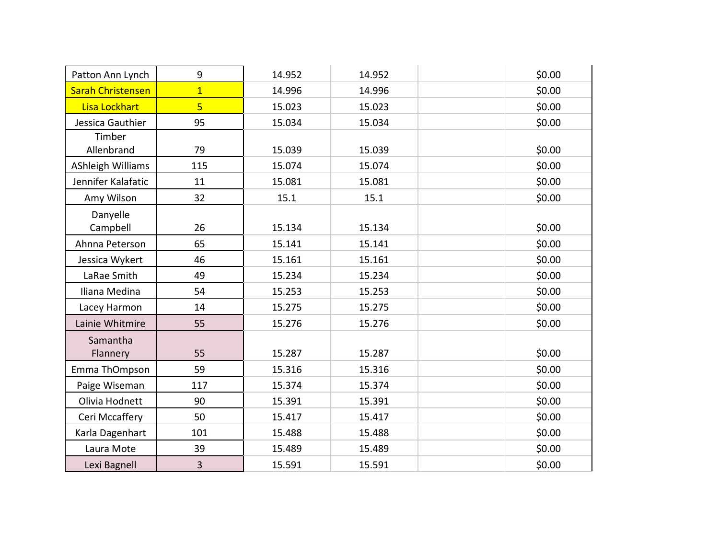| Patton Ann Lynch         | 9              | 14.952 | 14.952 | \$0.00 |
|--------------------------|----------------|--------|--------|--------|
| <b>Sarah Christensen</b> | $\overline{1}$ | 14.996 | 14.996 | \$0.00 |
| Lisa Lockhart            | $\overline{5}$ | 15.023 | 15.023 | \$0.00 |
| Jessica Gauthier         | 95             | 15.034 | 15.034 | \$0.00 |
| Timber<br>Allenbrand     | 79             | 15.039 | 15.039 | \$0.00 |
| AShleigh Williams        | 115            | 15.074 | 15.074 | \$0.00 |
| Jennifer Kalafatic       | 11             | 15.081 | 15.081 | \$0.00 |
| Amy Wilson               | 32             | 15.1   | 15.1   | \$0.00 |
| Danyelle<br>Campbell     | 26             | 15.134 | 15.134 | \$0.00 |
| Ahnna Peterson           | 65             | 15.141 | 15.141 | \$0.00 |
| Jessica Wykert           | 46             | 15.161 | 15.161 | \$0.00 |
| LaRae Smith              | 49             | 15.234 | 15.234 | \$0.00 |
| Iliana Medina            | 54             | 15.253 | 15.253 | \$0.00 |
| Lacey Harmon             | 14             | 15.275 | 15.275 | \$0.00 |
| Lainie Whitmire          | 55             | 15.276 | 15.276 | \$0.00 |
| Samantha<br>Flannery     | 55             | 15.287 | 15.287 | \$0.00 |
| Emma ThOmpson            | 59             | 15.316 | 15.316 | \$0.00 |
| Paige Wiseman            | 117            | 15.374 | 15.374 | \$0.00 |
| Olivia Hodnett           | 90             | 15.391 | 15.391 | \$0.00 |
| Ceri Mccaffery           | 50             | 15.417 | 15.417 | \$0.00 |
| Karla Dagenhart          | 101            | 15.488 | 15.488 | \$0.00 |
| Laura Mote               | 39             | 15.489 | 15.489 | \$0.00 |
| Lexi Bagnell             | 3              | 15.591 | 15.591 | \$0.00 |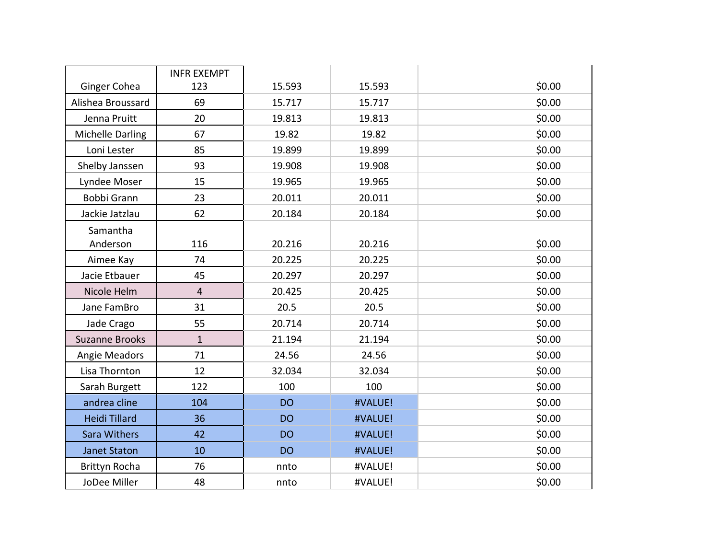|                         | <b>INFR EXEMPT</b> |           |         |        |
|-------------------------|--------------------|-----------|---------|--------|
| Ginger Cohea            | 123                | 15.593    | 15.593  | \$0.00 |
| Alishea Broussard       | 69                 | 15.717    | 15.717  | \$0.00 |
| Jenna Pruitt            | 20                 | 19.813    | 19.813  | \$0.00 |
| <b>Michelle Darling</b> | 67                 | 19.82     | 19.82   | \$0.00 |
| Loni Lester             | 85                 | 19.899    | 19.899  | \$0.00 |
| Shelby Janssen          | 93                 | 19.908    | 19.908  | \$0.00 |
| Lyndee Moser            | 15                 | 19.965    | 19.965  | \$0.00 |
| Bobbi Grann             | 23                 | 20.011    | 20.011  | \$0.00 |
| Jackie Jatzlau          | 62                 | 20.184    | 20.184  | \$0.00 |
| Samantha                |                    |           |         |        |
| Anderson                | 116                | 20.216    | 20.216  | \$0.00 |
| Aimee Kay               | 74                 | 20.225    | 20.225  | \$0.00 |
| Jacie Etbauer           | 45                 | 20.297    | 20.297  | \$0.00 |
| Nicole Helm             | $\overline{4}$     | 20.425    | 20.425  | \$0.00 |
| Jane FamBro             | 31                 | 20.5      | 20.5    | \$0.00 |
| Jade Crago              | 55                 | 20.714    | 20.714  | \$0.00 |
| <b>Suzanne Brooks</b>   | $\mathbf{1}$       | 21.194    | 21.194  | \$0.00 |
| Angie Meadors           | 71                 | 24.56     | 24.56   | \$0.00 |
| Lisa Thornton           | 12                 | 32.034    | 32.034  | \$0.00 |
| Sarah Burgett           | 122                | 100       | 100     | \$0.00 |
| andrea cline            | 104                | <b>DO</b> | #VALUE! | \$0.00 |
| <b>Heidi Tillard</b>    | 36                 | <b>DO</b> | #VALUE! | \$0.00 |
| Sara Withers            | 42                 | <b>DO</b> | #VALUE! | \$0.00 |
| <b>Janet Staton</b>     | 10                 | <b>DO</b> | #VALUE! | \$0.00 |
| <b>Brittyn Rocha</b>    | 76                 | nnto      | #VALUE! | \$0.00 |
| JoDee Miller            | 48                 | nnto      | #VALUE! | \$0.00 |